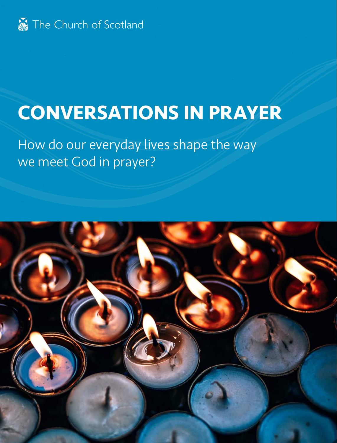

# **CONVERSATIONS IN PRAYER**

How do our everyday lives shape the way we meet God in prayer?

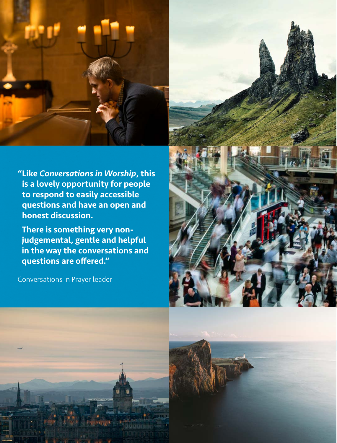

"Like *Conversations in Worship*, this is a lovely opportunity for people to respond to easily accessible questions and have an open and honest discussion.

There is something very nonjudgemental, gentle and helpful in the way the conversations and questions are offered."

Conversations in Prayer leader





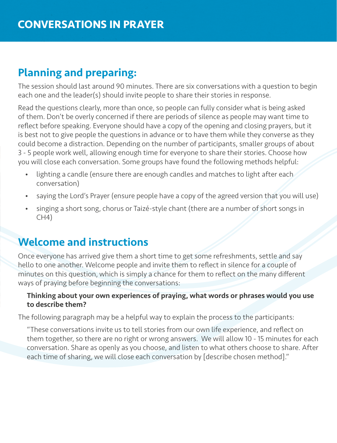## Planning and preparing:

The session should last around 90 minutes. There are six conversations with a question to begin each one and the leader(s) should invite people to share their stories in response.

Read the questions clearly, more than once, so people can fully consider what is being asked of them. Don't be overly concerned if there are periods of silence as people may want time to reflect before speaking. Everyone should have a copy of the opening and closing prayers, but it is best not to give people the questions in advance or to have them while they converse as they could become a distraction. Depending on the number of participants, smaller groups of about 3 - 5 people work well, allowing enough time for everyone to share their stories. Choose how you will close each conversation. Some groups have found the following methods helpful:

- lighting a candle (ensure there are enough candles and matches to light after each conversation)
- saying the Lord's Prayer (ensure people have a copy of the agreed version that you will use)
- singing a short song, chorus or Taizé-style chant (there are a number of short songs in  $CH4)$

#### Welcome and instructions

Once everyone has arrived give them a short time to get some refreshments, settle and say hello to one another. Welcome people and invite them to reflect in silence for a couple of minutes on this question, which is simply a chance for them to reflect on the many different ways of praying before beginning the conversations:

#### Thinking about your own experiences of praying, what words or phrases would you use to describe them?

The following paragraph may be a helpful way to explain the process to the participants:

"These conversations invite us to tell stories from our own life experience, and reflect on them together, so there are no right or wrong answers. We will allow 10 - 15 minutes for each conversation. Share as openly as you choose, and listen to what others choose to share. After each time of sharing, we will close each conversation by [describe chosen method]."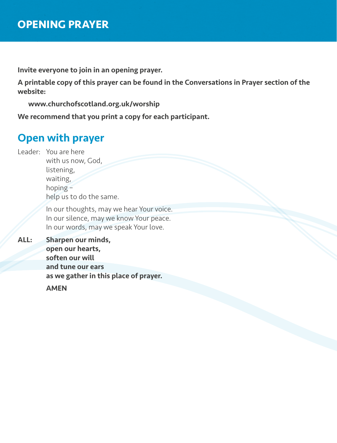Invite everyone to join in an opening prayer.

A printable copy of this prayer can be found in the Conversations in Prayer section of the website:

www.churchofscotland.org.uk/worship

We recommend that you print a copy for each participant.

#### Open with prayer

Leader: You are here with us now, God, listening, waiting, hoping – help us to do the same.

> In our thoughts, may we hear Your voice. In our silence, may we know Your peace. In our words, may we speak Your love.

ALL: Sharpen our minds, open our hearts, soften our will and tune our ears as we gather in this place of prayer.

**AMEN**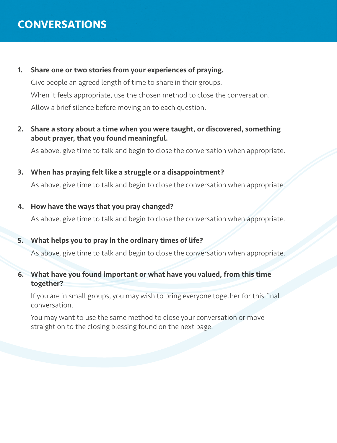### **CONVERSATIONS**

1. Share one or two stories from your experiences of praying. Give people an agreed length of time to share in their groups. When it feels appropriate, use the chosen method to close the conversation.

Allow a brief silence before moving on to each question.

2. Share a story about a time when you were taught, or discovered, something about prayer, that you found meaningful.

As above, give time to talk and begin to close the conversation when appropriate.

- 3. When has praying felt like a struggle or a disappointment? As above, give time to talk and begin to close the conversation when appropriate.
- 4. How have the ways that you pray changed?

As above, give time to talk and begin to close the conversation when appropriate.

#### 5. What helps you to pray in the ordinary times of life?

As above, give time to talk and begin to close the conversation when appropriate.

6. What have you found important or what have you valued, from this time together?

If you are in small groups, you may wish to bring everyone together for this final conversation.

 You may want to use the same method to close your conversation or move straight on to the closing blessing found on the next page.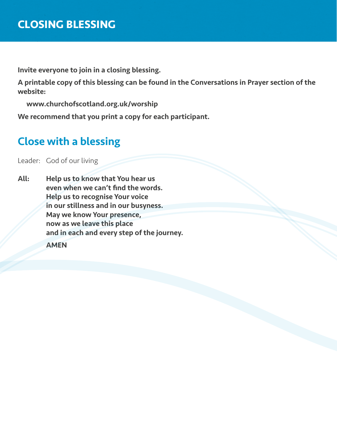Invite everyone to join in a closing blessing.

A printable copy of this blessing can be found in the Conversations in Prayer section of the website:

www.churchofscotland.org.uk/worship

We recommend that you print a copy for each participant.

## Close with a blessing

Leader: God of our living

All: Help us to know that You hear us even when we can't find the words. Help us to recognise Your voice in our stillness and in our busyness. May we know Your presence, now as we leave this place and in each and every step of the journey. AMEN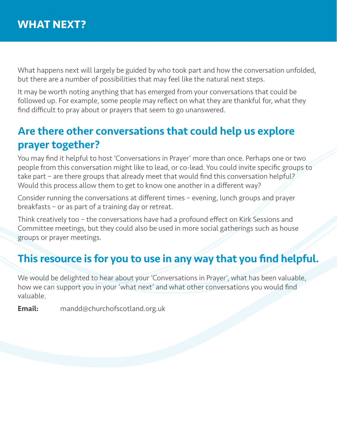What happens next will largely be guided by who took part and how the conversation unfolded, but there are a number of possibilities that may feel like the natural next steps.

It may be worth noting anything that has emerged from your conversations that could be followed up. For example, some people may reflect on what they are thankful for, what they find difficult to pray about or prayers that seem to go unanswered.

## Are there other conversations that could help us explore prayer together?

You may find it helpful to host 'Conversations in Prayer' more than once. Perhaps one or two people from this conversation might like to lead, or co-lead. You could invite specific groups to take part – are there groups that already meet that would find this conversation helpful? Would this process allow them to get to know one another in a different way?

Consider running the conversations at different times – evening, lunch groups and prayer breakfasts – or as part of a training day or retreat.

Think creatively too – the conversations have had a profound effect on Kirk Sessions and Committee meetings, but they could also be used in more social gatherings such as house groups or prayer meetings.

## This resource is for you to use in any way that you find helpful.

We would be delighted to hear about your 'Conversations in Prayer', what has been valuable, how we can support you in your 'what next' and what other conversations you would find valuable.

Email: mandd@churchofscotland.org.uk